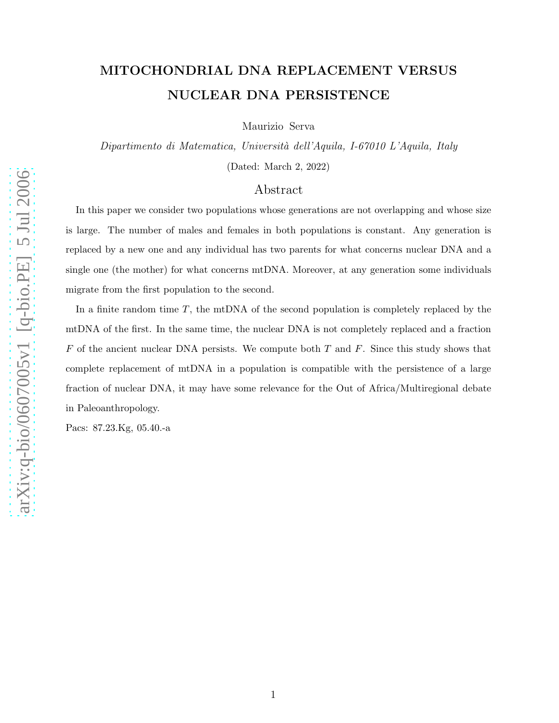# arXiv:q-bio/0607005v1 [q-bio.PE] 5 Jul 2006 [arXiv:q-bio/0607005v1 \[q-bio.PE\] 5 Jul 2006](http://arxiv.org/abs/q-bio/0607005v1)

# MITOCHONDRIAL DNA REPLACEMENT VERSUS NUCLEAR DNA PERSISTENCE

Maurizio Serva

Dipartimento di Matematica, Universit`a dell'Aquila, I-67010 L'Aquila, Italy (Dated: March 2, 2022)

# Abstract

In this paper we consider two populations whose generations are not overlapping and whose size is large. The number of males and females in both populations is constant. Any generation is replaced by a new one and any individual has two parents for what concerns nuclear DNA and a single one (the mother) for what concerns mtDNA. Moreover, at any generation some individuals migrate from the first population to the second.

In a finite random time T, the mtDNA of the second population is completely replaced by the mtDNA of the first. In the same time, the nuclear DNA is not completely replaced and a fraction  $F$  of the ancient nuclear DNA persists. We compute both  $T$  and  $F$ . Since this study shows that complete replacement of mtDNA in a population is compatible with the persistence of a large fraction of nuclear DNA, it may have some relevance for the Out of Africa/Multiregional debate in Paleoanthropology.

Pacs: 87.23.Kg, 05.40.-a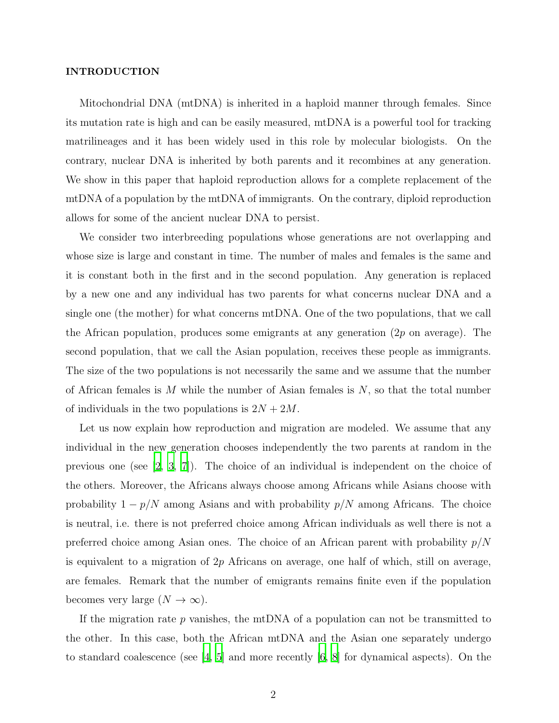### INTRODUCTION

Mitochondrial DNA (mtDNA) is inherited in a haploid manner through females. Since its mutation rate is high and can be easily measured, mtDNA is a powerful tool for tracking matrilineages and it has been widely used in this role by molecular biologists. On the contrary, nuclear DNA is inherited by both parents and it recombines at any generation. We show in this paper that haploid reproduction allows for a complete replacement of the mtDNA of a population by the mtDNA of immigrants. On the contrary, diploid reproduction allows for some of the ancient nuclear DNA to persist.

We consider two interbreeding populations whose generations are not overlapping and whose size is large and constant in time. The number of males and females is the same and it is constant both in the first and in the second population. Any generation is replaced by a new one and any individual has two parents for what concerns nuclear DNA and a single one (the mother) for what concerns mtDNA. One of the two populations, that we call the African population, produces some emigrants at any generation  $(2p \text{ on average})$ . The second population, that we call the Asian population, receives these people as immigrants. The size of the two populations is not necessarily the same and we assume that the number of African females is  $M$  while the number of Asian females is  $N$ , so that the total number of individuals in the two populations is  $2N + 2M$ .

Let us now explain how reproduction and migration are modeled. We assume that any individual in the new generation chooses independently the two parents at random in the previous one (see [\[2](#page-9-0), [3,](#page-9-1) [7\]](#page-9-2)). The choice of an individual is independent on the choice of the others. Moreover, the Africans always choose among Africans while Asians choose with probability  $1 - p/N$  among Asians and with probability  $p/N$  among Africans. The choice is neutral, i.e. there is not preferred choice among African individuals as well there is not a preferred choice among Asian ones. The choice of an African parent with probability  $p/N$ is equivalent to a migration of  $2p$  Africans on average, one half of which, still on average, are females. Remark that the number of emigrants remains finite even if the population becomes very large  $(N \to \infty)$ .

If the migration rate  $p$  vanishes, the mtDNA of a population can not be transmitted to the other. In this case, both the African mtDNA and the Asian one separately undergo to standard coalescence (see  $\begin{bmatrix} 4, 5 \end{bmatrix}$  $\begin{bmatrix} 4, 5 \end{bmatrix}$  $\begin{bmatrix} 4, 5 \end{bmatrix}$  and more recently  $\begin{bmatrix} 6, 8 \end{bmatrix}$  for dynamical aspects). On the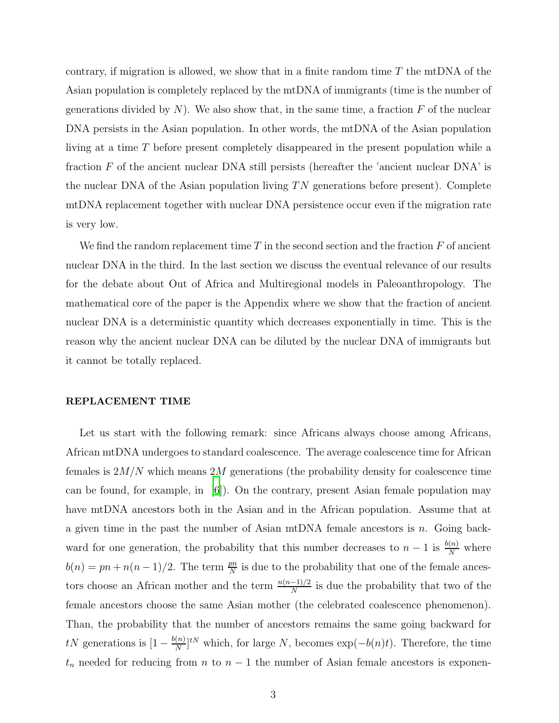contrary, if migration is allowed, we show that in a finite random time  $T$  the mtDNA of the Asian population is completely replaced by the mtDNA of immigrants (time is the number of generations divided by  $N$ ). We also show that, in the same time, a fraction  $F$  of the nuclear DNA persists in the Asian population. In other words, the mtDNA of the Asian population living at a time T before present completely disappeared in the present population while a fraction  $F$  of the ancient nuclear DNA still persists (hereafter the 'ancient nuclear DNA' is the nuclear DNA of the Asian population living  $TN$  generations before present). Complete mtDNA replacement together with nuclear DNA persistence occur even if the migration rate is very low.

We find the random replacement time  $T$  in the second section and the fraction  $F$  of ancient nuclear DNA in the third. In the last section we discuss the eventual relevance of our results for the debate about Out of Africa and Multiregional models in Paleoanthropology. The mathematical core of the paper is the Appendix where we show that the fraction of ancient nuclear DNA is a deterministic quantity which decreases exponentially in time. This is the reason why the ancient nuclear DNA can be diluted by the nuclear DNA of immigrants but it cannot be totally replaced.

### REPLACEMENT TIME

Let us start with the following remark: since Africans always choose among Africans, African mtDNA undergoes to standard coalescence. The average coalescence time for African females is  $2M/N$  which means  $2M$  generations (the probability density for coalescence time can be found, for example, in  $[6]$ ). On the contrary, present Asian female population may have mtDNA ancestors both in the Asian and in the African population. Assume that at a given time in the past the number of Asian mtDNA female ancestors is n. Going backward for one generation, the probability that this number decreases to  $n-1$  is  $\frac{b(n)}{N}$  where  $b(n) = pn + n(n-1)/2$ . The term  $\frac{pn}{N}$  is due to the probability that one of the female ancestors choose an African mother and the term  $\frac{n(n-1)/2}{N}$  is due the probability that two of the female ancestors choose the same Asian mother (the celebrated coalescence phenomenon). Than, the probability that the number of ancestors remains the same going backward for  $tN$  generations is  $\left[1 - \frac{b(n)}{N}\right]$  $\frac{(n)}{N}]^{tN}$  which, for large N, becomes  $\exp(-b(n)t)$ . Therefore, the time  $t_n$  needed for reducing from n to  $n-1$  the number of Asian female ancestors is exponen-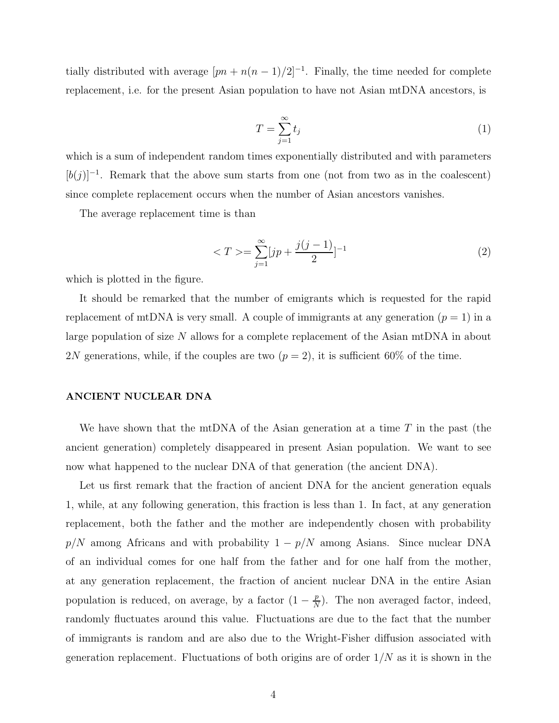tially distributed with average  $[pn + n(n-1)/2]^{-1}$ . Finally, the time needed for complete replacement, i.e. for the present Asian population to have not Asian mtDNA ancestors, is

$$
T = \sum_{j=1}^{\infty} t_j \tag{1}
$$

which is a sum of independent random times exponentially distributed and with parameters  $[b(j)]^{-1}$ . Remark that the above sum starts from one (not from two as in the coalescent) since complete replacement occurs when the number of Asian ancestors vanishes.

The average replacement time is than

$$
\langle T \rangle = \sum_{j=1}^{\infty} [jp + \frac{j(j-1)}{2}]^{-1}
$$
 (2)

which is plotted in the figure.

It should be remarked that the number of emigrants which is requested for the rapid replacement of mtDNA is very small. A couple of immigrants at any generation  $(p = 1)$  in a large population of size  $N$  allows for a complete replacement of the Asian mtDNA in about 2N generations, while, if the couples are two  $(p = 2)$ , it is sufficient 60% of the time.

## ANCIENT NUCLEAR DNA

We have shown that the mtDNA of the Asian generation at a time  $T$  in the past (the ancient generation) completely disappeared in present Asian population. We want to see now what happened to the nuclear DNA of that generation (the ancient DNA).

Let us first remark that the fraction of ancient DNA for the ancient generation equals 1, while, at any following generation, this fraction is less than 1. In fact, at any generation replacement, both the father and the mother are independently chosen with probability  $p/N$  among Africans and with probability  $1 - p/N$  among Asians. Since nuclear DNA of an individual comes for one half from the father and for one half from the mother, at any generation replacement, the fraction of ancient nuclear DNA in the entire Asian population is reduced, on average, by a factor  $(1 - \frac{p}{N})$  $\frac{p}{N}$ ). The non averaged factor, indeed, randomly fluctuates around this value. Fluctuations are due to the fact that the number of immigrants is random and are also due to the Wright-Fisher diffusion associated with generation replacement. Fluctuations of both origins are of order  $1/N$  as it is shown in the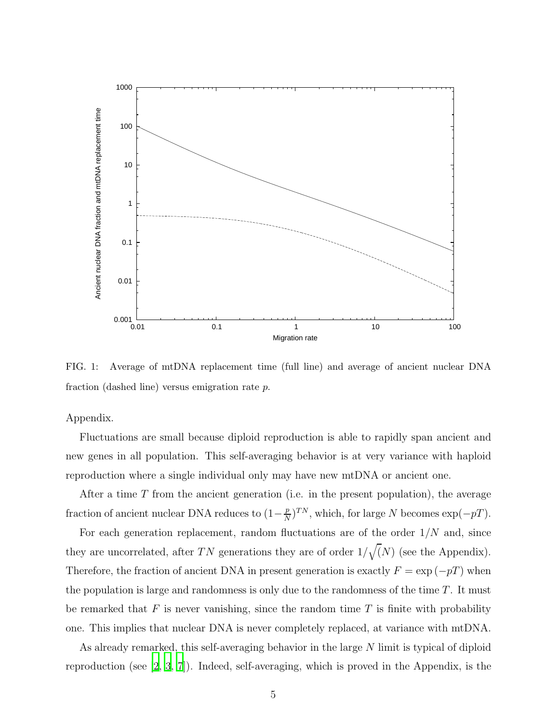

FIG. 1: Average of mtDNA replacement time (full line) and average of ancient nuclear DNA fraction (dashed line) versus emigration rate p.

Appendix.

Fluctuations are small because diploid reproduction is able to rapidly span ancient and new genes in all population. This self-averaging behavior is at very variance with haploid reproduction where a single individual only may have new mtDNA or ancient one.

After a time  $T$  from the ancient generation (i.e. in the present population), the average fraction of ancient nuclear DNA reduces to  $(1-\frac{p}{N})$  $\frac{p}{N}$ )<sup>TN</sup>, which, for large N becomes exp( $-pT$ ).

For each generation replacement, random fluctuations are of the order  $1/N$  and, since they are uncorrelated, after TN generations they are of order  $1/\sqrt(N)$  (see the Appendix). Therefore, the fraction of ancient DNA in present generation is exactly  $F = \exp(-pT)$  when the population is large and randomness is only due to the randomness of the time  $T$ . It must be remarked that  $F$  is never vanishing, since the random time  $T$  is finite with probability one. This implies that nuclear DNA is never completely replaced, at variance with mtDNA.

As already remarked, this self-averaging behavior in the large N limit is typical of diploid reproduction (see [\[2](#page-9-0), [3](#page-9-1), [7\]](#page-9-2)). Indeed, self-averaging, which is proved in the Appendix, is the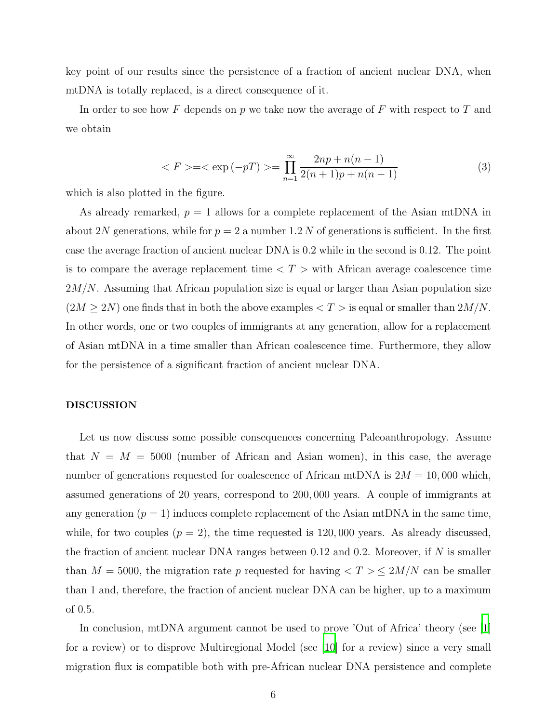key point of our results since the persistence of a fraction of ancient nuclear DNA, when mtDNA is totally replaced, is a direct consequence of it.

In order to see how F depends on  $p$  we take now the average of F with respect to T and we obtain

$$
\langle F \rangle = \langle \exp(-p) \rangle = \prod_{n=1}^{\infty} \frac{2np + n(n-1)}{2(n+1)p + n(n-1)} \tag{3}
$$

which is also plotted in the figure.

As already remarked,  $p = 1$  allows for a complete replacement of the Asian mtDNA in about 2N generations, while for  $p = 2$  a number 1.2 N of generations is sufficient. In the first case the average fraction of ancient nuclear DNA is 0.2 while in the second is 0.12. The point is to compare the average replacement time  $\langle T \rangle$  with African average coalescence time  $2M/N$ . Assuming that African population size is equal or larger than Asian population size  $(2M \geq 2N)$  one finds that in both the above examples  $\langle T \rangle$  is equal or smaller than  $2M/N$ . In other words, one or two couples of immigrants at any generation, allow for a replacement of Asian mtDNA in a time smaller than African coalescence time. Furthermore, they allow for the persistence of a significant fraction of ancient nuclear DNA.

### DISCUSSION

Let us now discuss some possible consequences concerning Paleoanthropology. Assume that  $N = M = 5000$  (number of African and Asian women), in this case, the average number of generations requested for coalescence of African mtDNA is  $2M = 10,000$  which, assumed generations of 20 years, correspond to 200, 000 years. A couple of immigrants at any generation  $(p = 1)$  induces complete replacement of the Asian mtDNA in the same time, while, for two couples  $(p = 2)$ , the time requested is 120,000 years. As already discussed, the fraction of ancient nuclear DNA ranges between 0.12 and 0.2. Moreover, if  $N$  is smaller than  $M = 5000$ , the migration rate p requested for having  $\langle T \rangle \leq 2M/N$  can be smaller than 1 and, therefore, the fraction of ancient nuclear DNA can be higher, up to a maximum of 0.5.

In conclusion, mtDNA argument cannot be used to prove 'Out of Africa' theory (see [\[1\]](#page-9-7) for a review) or to disprove Multiregional Model (see [\[10](#page-9-8)] for a review) since a very small migration flux is compatible both with pre-African nuclear DNA persistence and complete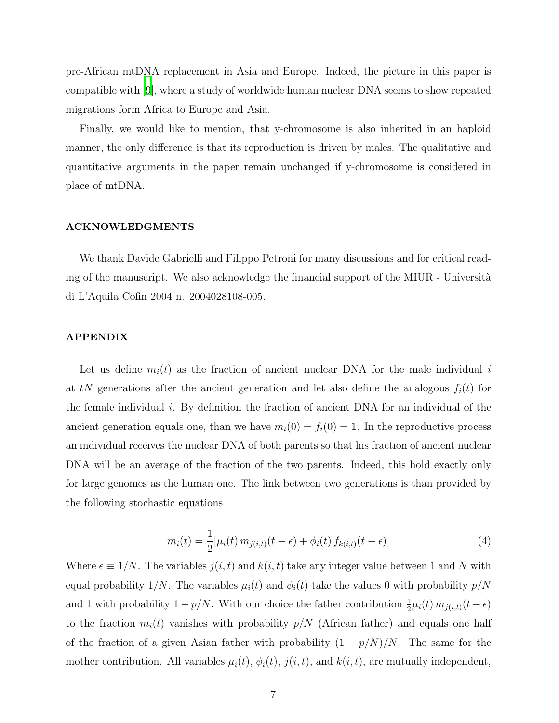pre-African mtDNA replacement in Asia and Europe. Indeed, the picture in this paper is compatible with [\[9](#page-9-9)], where a study of worldwide human nuclear DNA seems to show repeated migrations form Africa to Europe and Asia.

Finally, we would like to mention, that y-chromosome is also inherited in an haploid manner, the only difference is that its reproduction is driven by males. The qualitative and quantitative arguments in the paper remain unchanged if y-chromosome is considered in place of mtDNA.

### ACKNOWLEDGMENTS

We thank Davide Gabrielli and Filippo Petroni for many discussions and for critical reading of the manuscript. We also acknowledge the financial support of the MIUR - Università di L'Aquila Cofin 2004 n. 2004028108-005.

### APPENDIX

Let us define  $m_i(t)$  as the fraction of ancient nuclear DNA for the male individual i at tN generations after the ancient generation and let also define the analogous  $f_i(t)$  for the female individual i. By definition the fraction of ancient DNA for an individual of the ancient generation equals one, than we have  $m_i(0) = f_i(0) = 1$ . In the reproductive process an individual receives the nuclear DNA of both parents so that his fraction of ancient nuclear DNA will be an average of the fraction of the two parents. Indeed, this hold exactly only for large genomes as the human one. The link between two generations is than provided by the following stochastic equations

$$
m_i(t) = \frac{1}{2} [\mu_i(t) \, m_{j(i,t)}(t - \epsilon) + \phi_i(t) \, f_{k(i,t)}(t - \epsilon)] \tag{4}
$$

<span id="page-6-0"></span>Where  $\epsilon \equiv 1/N$ . The variables  $j(i, t)$  and  $k(i, t)$  take any integer value between 1 and N with equal probability 1/N. The variables  $\mu_i(t)$  and  $\phi_i(t)$  take the values 0 with probability  $p/N$ and 1 with probability  $1 - p/N$ . With our choice the father contribution  $\frac{1}{2}\mu_i(t) m_{j(i,t)}(t - \epsilon)$ to the fraction  $m_i(t)$  vanishes with probability  $p/N$  (African father) and equals one half of the fraction of a given Asian father with probability  $(1 - p/N)/N$ . The same for the mother contribution. All variables  $\mu_i(t)$ ,  $\phi_i(t)$ ,  $j(i, t)$ , and  $k(i, t)$ , are mutually independent,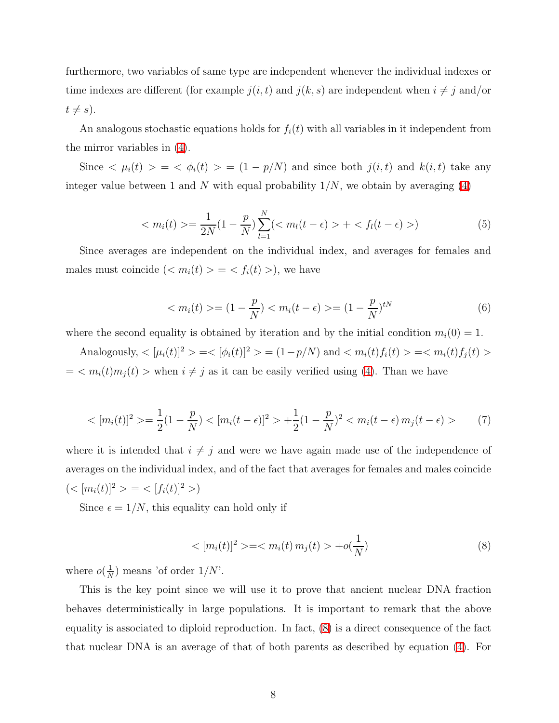furthermore, two variables of same type are independent whenever the individual indexes or time indexes are different (for example  $j(i, t)$  and  $j(k, s)$  are independent when  $i \neq j$  and/or  $t \neq s$ ).

An analogous stochastic equations holds for  $f_i(t)$  with all variables in it independent from the mirror variables in [\(4\)](#page-6-0).

Since  $\langle \mu_i(t) \rangle = \langle \phi_i(t) \rangle = (1 - p/N)$  and since both  $j(i, t)$  and  $k(i, t)$  take any integer value between 1 and N with equal probability  $1/N$ , we obtain by averaging [\(4\)](#page-6-0)

$$
\langle m_i(t) \rangle = \frac{1}{2N} (1 - \frac{p}{N}) \sum_{l=1}^{N} (\langle m_l(t - \epsilon) \rangle + \langle f_l(t - \epsilon) \rangle)
$$
 (5)

<span id="page-7-1"></span>Since averages are independent on the individual index, and averages for females and males must coincide  $( $m_i(t) > = < f_i(t) >$ , we have$ 

$$
\langle m_i(t) \rangle = (1 - \frac{p}{N}) \langle m_i(t - \epsilon) \rangle = (1 - \frac{p}{N})^{tN} \tag{6}
$$

where the second equality is obtained by iteration and by the initial condition  $m_i(0) = 1$ .

Analogously,  $\langle [\mu_i(t)]^2 \rangle = \langle [\phi_i(t)]^2 \rangle = (1 - p/N)$  and  $\langle m_i(t) f_i(t) \rangle = \langle m_i(t) f_j(t) \rangle$  $= \langle m_i(t)m_j(t) \rangle$  when  $i \neq j$  as it can be easily verified using [\(4\)](#page-6-0). Than we have

$$
\langle [m_i(t)]^2 \rangle = \frac{1}{2} (1 - \frac{p}{N}) \langle [m_i(t - \epsilon)]^2 \rangle + \frac{1}{2} (1 - \frac{p}{N})^2 \langle m_i(t - \epsilon) m_j(t - \epsilon) \rangle \tag{7}
$$

where it is intended that  $i \neq j$  and were we have again made use of the independence of averages on the individual index, and of the fact that averages for females and males coincide  $(<[m_i(t)]^2> = <[f_i(t)]^2>$ 

<span id="page-7-0"></span>Since  $\epsilon = 1/N$ , this equality can hold only if

$$
\langle [m_i(t)]^2 \rangle = \langle m_i(t) m_j(t) \rangle + o(\frac{1}{N})
$$
\n(8)

where  $o(\frac{1}{N})$  $\frac{1}{N}$ ) means 'of order  $1/N$ '.

This is the key point since we will use it to prove that ancient nuclear DNA fraction behaves deterministically in large populations. It is important to remark that the above equality is associated to diploid reproduction. In fact, [\(8\)](#page-7-0) is a direct consequence of the fact that nuclear DNA is an average of that of both parents as described by equation [\(4\)](#page-6-0). For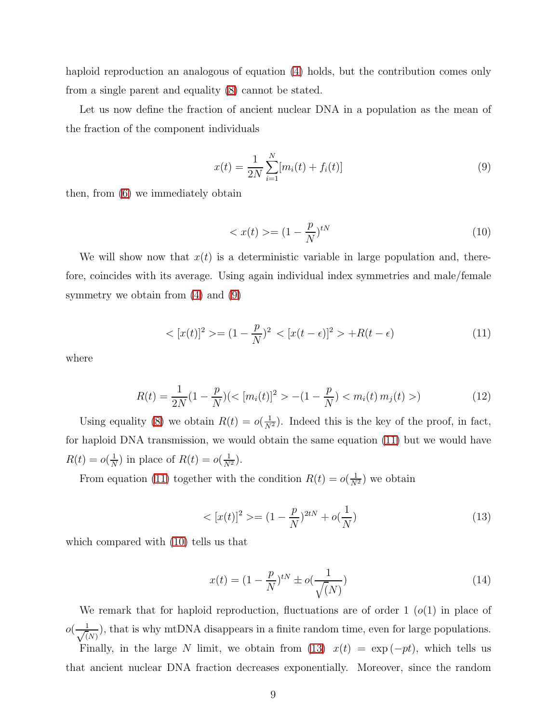haploid reproduction an analogous of equation [\(4\)](#page-6-0) holds, but the contribution comes only from a single parent and equality [\(8\)](#page-7-0) cannot be stated.

Let us now define the fraction of ancient nuclear DNA in a population as the mean of the fraction of the component individuals

<span id="page-8-2"></span><span id="page-8-0"></span>
$$
x(t) = \frac{1}{2N} \sum_{i=1}^{N} [m_i(t) + f_i(t)]
$$
\n(9)

then, from [\(6\)](#page-7-1) we immediately obtain

$$
\langle x(t) \rangle = (1 - \frac{p}{N})^{tN} \tag{10}
$$

<span id="page-8-1"></span>We will show now that  $x(t)$  is a deterministic variable in large population and, therefore, coincides with its average. Using again individual index symmetries and male/female symmetry we obtain from  $(4)$  and  $(9)$ 

$$
\langle [x(t)]^2 \rangle = (1 - \frac{p}{N})^2 \langle [x(t - \epsilon)]^2 \rangle + R(t - \epsilon) \tag{11}
$$

where

$$
R(t) = \frac{1}{2N}(1 - \frac{p}{N})(< [m_i(t)]^2 > -(1 - \frac{p}{N}) < m_i(t) \, m_j(t) > ) \tag{12}
$$

Using equality [\(8\)](#page-7-0) we obtain  $R(t) = o(\frac{1}{N^2})$ . Indeed this is the key of the proof, in fact, for haploid DNA transmission, we would obtain the same equation [\(11\)](#page-8-1) but we would have  $R(t) = o(\frac{1}{N})$  $\frac{1}{N}$ ) in place of  $R(t) = o(\frac{1}{N^2})$ .

<span id="page-8-3"></span>From equation [\(11\)](#page-8-1) together with the condition  $R(t) = o(\frac{1}{N^2})$  we obtain

$$
\langle [x(t)]^2 \rangle = (1 - \frac{p}{N})^{2tN} + o(\frac{1}{N})
$$
\n(13)

which compared with [\(10\)](#page-8-2) tells us that

$$
x(t) = (1 - \frac{p}{N})^{tN} \pm o(\frac{1}{\sqrt{N}})
$$
\n(14)

We remark that for haploid reproduction, fluctuations are of order 1 ( $o(1)$  in place of  $o\left(\frac{1}{\sqrt{l}}\right)$  $\frac{1}{N(N)}$ , that is why mtDNA disappears in a finite random time, even for large populations. Finally, in the large N limit, we obtain from [\(13\)](#page-8-3)  $x(t) = \exp(-pt)$ , which tells us that ancient nuclear DNA fraction decreases exponentially. Moreover, since the random